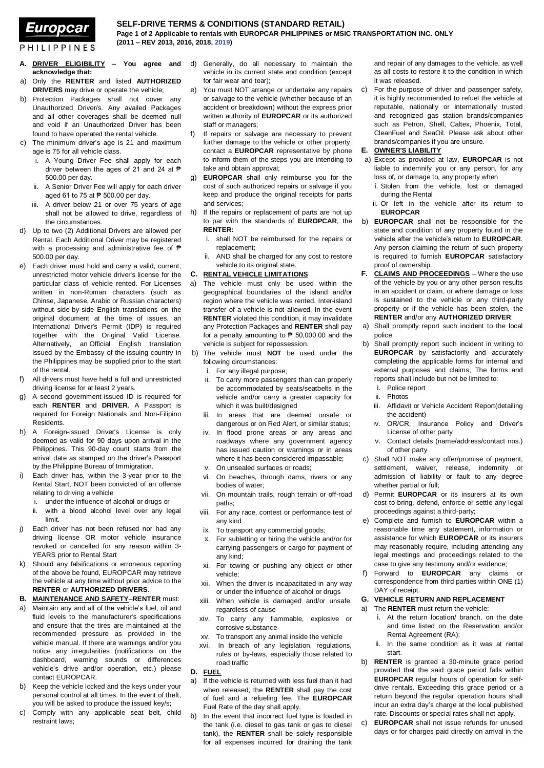# Europcar

**PHILIPPINES** 

## **SELF-DRIVE TERMS & CONDITIONS (STANDARD RETAIL)**

**Page 1 of 2 Applicable to rentals with EUROPCAR PHILIPPINES or MSIC TRANSPORTATION INC. ONLY (2011 – REV 2013, 2016, 2018, 2019)**

- **A. DRIVER ELIGIBILITY – You agree and acknowledge that:**
- a) Only the **RENTER** and listed **AUTHORIZED DRIVERS** may drive or operate the vehicle;
- b) Protection Packages shall not cover any Unauthorized Driver/s. Any availed Packages and all other coverages shall be deemed null and void if an Unauthorized Driver has been found to have operated the rental vehicle.
- c) The minimum driver's age is 21 and maximum age is 75 for all vehicle class.
	- i. A Young Driver Fee shall apply for each driver between the ages of 21 and 24 at ₱ 500.00 per day.
	- ii. A Senior Driver Fee will apply for each driver aged 61 to 75 at  $\overrightarrow{P}$  500.00 per day.
	- iii. A driver below 21 or over 75 years of age shall not be allowed to drive, regardless of the circumstances.
- d) Up to two (2) Additional Drivers are allowed per Rental. Each Additional Driver may be registered with a processing and administrative fee of  $\blacksquare$ 500.00 per day.
- e) Each driver must hold and carry a valid, current, unrestricted motor vehicle driver's license for the particular class of vehicle rented. For Licenses written in non-Roman characters (such as Chinse, Japanese, Arabic or Russian characters) without side-by-side English translations on the original document at the time of issues, an International Driver's Permit (IDP) is required together with the Original Valid License. Alternatively, an Official English translation issued by the Embassy of the issuing country in the Philippines may be supplied prior to the start of the rental.
- f) All drivers must have held a full and unrestricted driving license for at least 2 years.
- g) A second government-issued ID is required for each **RENTER** and **DRIVER**. A Passport is required for Foreign Nationals and Non-Filipino Residents.
- h) A Foreign-issued Driver's License is only deemed as valid for 90 days upon arrival in the Philippines. This 90-day count starts from the arrival date as stamped on the driver's Passport by the Philippine Bureau of Immigration.
- i) Each driver has, within the 3-year prior to the Rental Start, NOT been convicted of an offense relating to driving a vehicle
	- i. under the influence of alcohol or drugs or
	- ii. with a blood alcohol level over any legal limit.
- j) Each driver has not been refused nor had any driving license OR motor vehicle insurance revoked or cancelled for any reason within 3- YEARS prior to Rental Start
- k) Should any falsifications or erroneous reporting of the above be found, EUROPCAR may retrieve the vehicle at any time without prior advice to the **RENTER** or **AUTHORIZED DRIVERS**.

## **B. MAINTENANCE AND SAFETY**–**RENTER** must:

- a) Maintain any and all of the vehicle's fuel, oil and fluid levels to the manufacturer's specifications and ensure that the tires are maintained at the recommended pressure as provided in the vehicle manual. If there are warnings and/or you notice any irregularities (notifications on the dashboard, warning sounds or differences vehicle's drive and/or operation, etc.) please contact EUROPCAR.
- b) Keep the vehicle locked and the keys under your personal control at all times. In the event of theft, you will be asked to produce the issued key/s;
- c) Comply with any applicable seat belt, child restraint laws;
- d) Generally, do all necessary to maintain the vehicle in its current state and condition (except for fair wear and tear);
- e) You must NOT arrange or undertake any repairs or salvage to the vehicle (whether because of an accident or breakdown) without the express prior written authority of **EUROPCAR** or its authorized staff or managers;
- f) If repairs or salvage are necessary to prevent further damage to the vehicle or other property, contact a **EUROPCAR** representative by phone to inform them of the steps you are intending to take and obtain approval;
- g) **EUROPCAR** shall only reimburse you for the cost of such authorized repairs or salvage if you keep and produce the original receipts for parts and services;
- h) If the repairs or replacement of parts are not up to par with the standards of **EUROPCAR**, the **RENTER:**
	- i. shall NOT be reimbursed for the repairs or replacement;
	- ii. AND shall be charged for any cost to restore vehicle to its original state.

## **C. RENTAL VEHICLE LIMITATIONS**

- a) The vehicle must only be used within the geographical boundaries of the island and/or region where the vehicle was rented. Inter-island transfer of a vehicle is not allowed. In the event **RENTER** violated this condition, it may invalidate any Protection Packages and **RENTER** shall pay for a penalty amounting to  $\overline{P}$  50,000.00 and the vehicle is subject for repossession.
- b) The vehicle must **NOT** be used under the following circumstances:
	- i. For any illegal purpose;
	- ii. To carry more passengers than can properly be accommodated by seats/seatbelts in the vehicle and/or carry a greater capacity for which it was built/designed
	- iii. In areas that are deemed unsafe or dangerous or on Red Alert, or similar status;
	- iv. In flood prone areas or any areas and roadways where any government agency has issued caution or warnings or in areas where it has been considered impassable;
	- v. On unsealed surfaces or roads;
	- vi. On beaches, through dams, rivers or any bodies of water;
	- vii. On mountain trails, rough terrain or off-road paths;
	- viii. For any race, contest or performance test of any kind
	- ix. To transport any commercial goods;
	- x. For subletting or hiring the vehicle and/or for carrying passengers or cargo for payment of any kind;
	- xi. For towing or pushing any object or other vehicle;
	- xii. When the driver is incapacitated in any way or under the influence of alcohol or drugs
	- xiii. When vehicle is damaged and/or unsafe, regardless of cause
	- xiv. To carry any flammable, explosive or corrosive substance
	- xv. To transport any animal inside the vehicle
	- xvi. In breach of any legislation, regulations, rules or by-laws, especially those related to road traffic

**D. FUEL**

- a) If the vehicle is returned with less fuel than it had when released, the **RENTER** shall pay the cost of fuel and a refueling fee. The **EUROPCAR** Fuel Rate of the day shall apply.
- b) In the event that incorrect fuel type is loaded in the tank (i.e. diesel to gas tank or gas to diesel tank), the **RENTER** shall be solely responsible for all expenses incurred for draining the tank

and repair of any damages to the vehicle, as well as all costs to restore it to the condition in which it was released.

c) For the purpose of driver and passenger safety, it is highly recommended to refuel the vehicle at reputable, nationally or internationally trusted and recognized gas station brands/companies such as Petron, Shell, Caltex, Phoenix, Total, CleanFuel and SeaOil. Please ask about other brands/companies if you are unsure.

#### **E. OWNER'S LIABILITY**

- a) Except as provided at law, **EUROPCAR** is not liable to indemnify you or any person, for any loss of, or damage to, any property when
	- i. Stolen from the vehicle, lost or damaged during the Rental
- ii. Or left in the vehicle after its return to **EUROPCAR**
- b) **EUROPCAR** shall not be responsible for the state and condition of any property found in the vehicle after the vehicle's return to **EUROPCAR**. Any person claiming the return of such property is required to furnish **EUROPCAR** satisfactory proof of ownership.
- **F. CLAIMS AND PROCEEDINGS** Where the use of the vehicle by you or any other person results in an accident or claim, or where damage or loss is sustained to the vehicle or any third-party property or if the vehicle has been stolen, the **RENTER** and/or any **AUTHORIZED DRIVER**:
- a) Shall promptly report such incident to the local police
- b) Shall promptly report such incident in writing to **EUROPCAR** by satisfactorily and accurately completing the applicable forms for internal and external purposes and claims; The forms and reports shall include but not be limited to:
	- i. Police report
	- ii. Photos
	- iii. Affidavit or Vehicle Accident Report(detailing the accident)
	- iv. OR/CR, Insurance Policy and Driver's License of other party
	- v. Contact details (name/address/contact nos.) of other party
- c) Shall NOT make any offer/promise of payment, settlement, waiver, release, indemnity or admission of liability or fault to any degree whether partial or full;
- d) Permit **EUROPCAR** or its insurers at its own cost to bring, defend, enforce or settle any legal proceedings against a third-party;
- e) Complete and furnish to **EUROPCAR** within a reasonable time any statement, information or assistance for which **EUROPCAR** or its insurers may reasonably require, including attending any legal meetings and proceedings related to the case to give any testimony and/or evidence;
- f) Forward to **EUROPCAR** any claims or correspondence from third parties within ONE (1) DAY of receipt.

#### **G. VEHICLE RETURN AND REPLACEMENT**

#### a) The **RENTER** must return the vehicle:

- i. At the return location/ branch, on the date and time listed on the Reservation and/or Rental Agreement (RA);
- ii. In the same condition as it was at rental start.
- b) **RENTER** is granted a 30-minute grace period provided that the said grace period falls within **EUROPCAR** regular hours of operation for selfdrive rentals. Exceeding this grace period or a return beyond the regular operation hours shall incur an extra day's charge at the local published rate. Discounts or special rates shall not apply.
- c) **EUROPCAR** shall not issue refunds for unused days or for charges paid directly on arrival in the